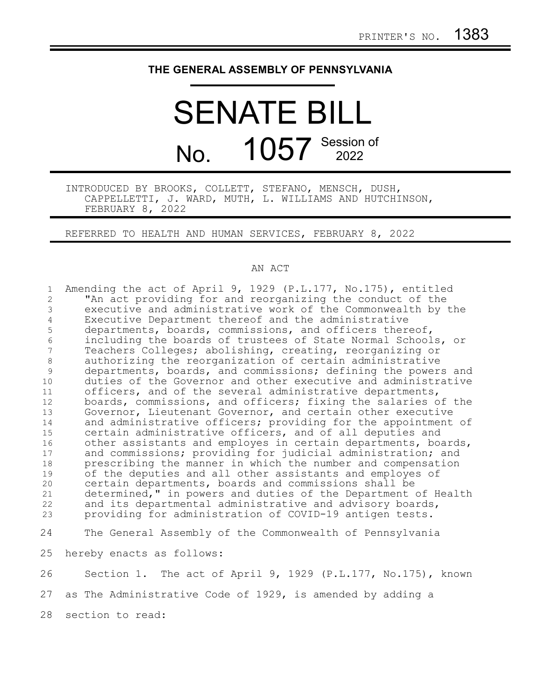## **THE GENERAL ASSEMBLY OF PENNSYLVANIA**

## SENATE BILL No. 1057 Session of

INTRODUCED BY BROOKS, COLLETT, STEFANO, MENSCH, DUSH, CAPPELLETTI, J. WARD, MUTH, L. WILLIAMS AND HUTCHINSON, FEBRUARY 8, 2022

REFERRED TO HEALTH AND HUMAN SERVICES, FEBRUARY 8, 2022

## AN ACT

Amending the act of April 9, 1929 (P.L.177, No.175), entitled "An act providing for and reorganizing the conduct of the executive and administrative work of the Commonwealth by the Executive Department thereof and the administrative departments, boards, commissions, and officers thereof, including the boards of trustees of State Normal Schools, or Teachers Colleges; abolishing, creating, reorganizing or authorizing the reorganization of certain administrative departments, boards, and commissions; defining the powers and duties of the Governor and other executive and administrative officers, and of the several administrative departments, boards, commissions, and officers; fixing the salaries of the Governor, Lieutenant Governor, and certain other executive and administrative officers; providing for the appointment of certain administrative officers, and of all deputies and other assistants and employes in certain departments, boards, and commissions; providing for judicial administration; and prescribing the manner in which the number and compensation of the deputies and all other assistants and employes of certain departments, boards and commissions shall be determined," in powers and duties of the Department of Health and its departmental administrative and advisory boards, providing for administration of COVID-19 antigen tests. The General Assembly of the Commonwealth of Pennsylvania hereby enacts as follows: Section 1. The act of April 9, 1929 (P.L.177, No.175), known as The Administrative Code of 1929, is amended by adding a section to read: 1 2 3 4 5 6 7 8 9 10 11 12 13 14 15 16 17 18 19 20 21 22 23 24 25 26 27 28